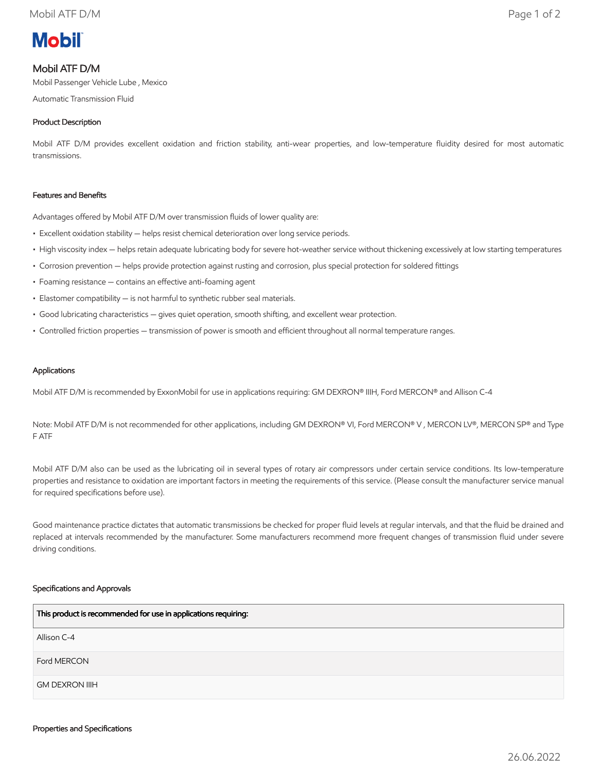

# Mobil ATF D/M

Mobil Passenger Vehicle Lube , Mexico

Automatic Transmission Fluid

## Product Description

Mobil ATF D/M provides excellent oxidation and friction stability, anti-wear properties, and low-temperature fluidity desired for most automatic transmissions.

### Features and Benefits

Advantages offered by Mobil ATF D/M over transmission fluids of lower quality are:

- Excellent oxidation stability helps resist chemical deterioration over long service periods.
- High viscosity index helps retain adequate lubricating body for severe hot-weather service without thickening excessively at low starting temperatures
- Corrosion prevention helps provide protection against rusting and corrosion, plus special protection for soldered fittings
- Foaming resistance contains an effective anti-foaming agent
- Elastomer compatibility is not harmful to synthetic rubber seal materials.
- Good lubricating characteristics gives quiet operation, smooth shifting, and excellent wear protection.
- Controlled friction properties transmission of power is smooth and efficient throughout all normal temperature ranges.

#### Applications

Mobil ATF D/M is recommended by ExxonMobil for use in applications requiring: GM DEXRON® IIIH, Ford MERCON® and Allison C-4

Note: Mobil ATF D/M is not recommended for other applications, including GM DEXRON® VI, Ford MERCON® V, MERCON LV®, MERCON SP® and Type F ATF

Mobil ATF D/M also can be used as the lubricating oil in several types of rotary air compressors under certain service conditions. Its low-temperature properties and resistance to oxidation are important factors in meeting the requirements of this service. (Please consult the manufacturer service manual for required specifications before use).

Good maintenance practice dictates that automatic transmissions be checked for proper fluid levels at regular intervals, and that the fluid be drained and replaced at intervals recommended by the manufacturer. Some manufacturers recommend more frequent changes of transmission fluid under severe driving conditions.

#### Specifications and Approvals

| This product is recommended for use in applications requiring: |
|----------------------------------------------------------------|
| Allison C-4                                                    |
| Ford MERCON                                                    |
| <b>GM DEXRON IIIH</b>                                          |